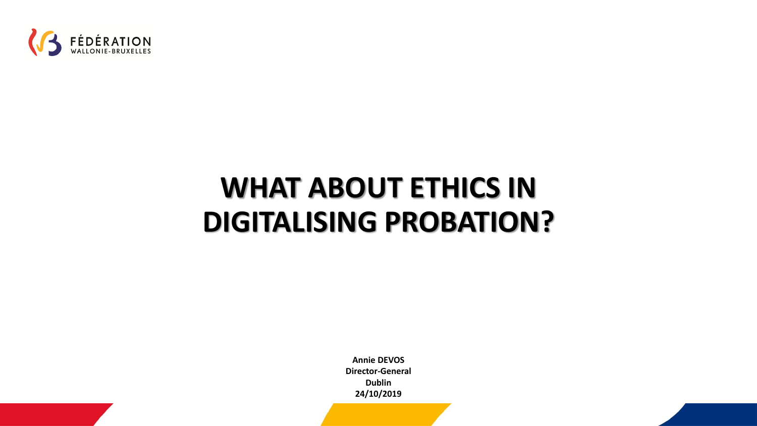

# **WHAT ABOUT ETHICS IN DIGITALISING PROBATION?**

**Annie DEVOS Director-General Dublin 24/10/2019**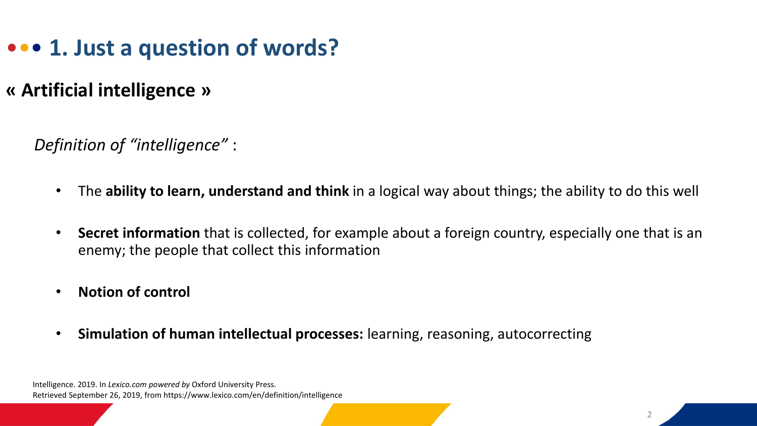### ••• **1. Just a question of words?**

#### **« Artificial intelligence »**

*Definition of "intelligence"* :

- The **ability to learn, understand and think** in a logical way about things; the ability to do this well
- **Secret information** that is collected, for example about a foreign country, especially one that is an enemy; the people that collect this information
- **Notion of control**
- **Simulation of human intellectual processes:** learning, reasoning, autocorrecting

Intelligence. 2019. In *Lexico.com powered by* Oxford University Press. Retrieved September 26, 2019, from https://www.lexico.com/en/definition/intelligence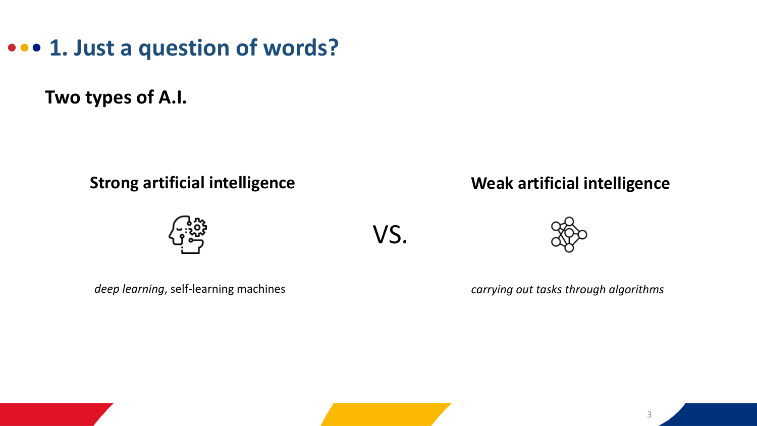••• **1. Just a question of words?**

**Two types of A.I.**

**Strong artificial intelligence**

VS.



**Weak artificial intelligence**

*deep learning*, self-learning machines

*carrying out tasks through algorithms*

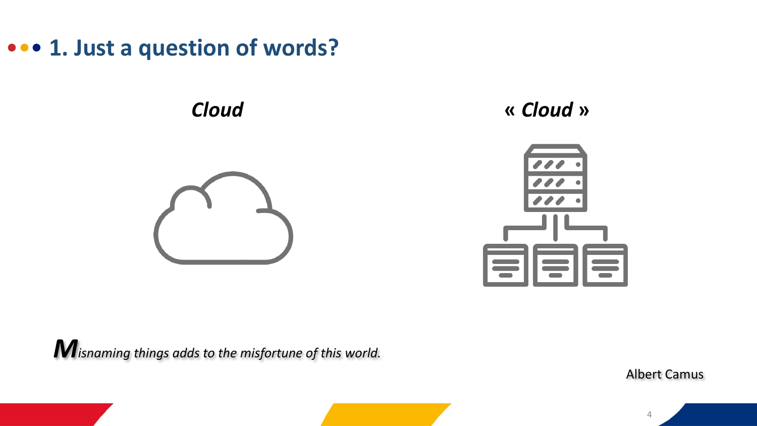••• **1. Just a question of words?**



*Cloud* **«** *Cloud* **»** 



*Misnaming things adds to the misfortune of this world.*

Albert Camus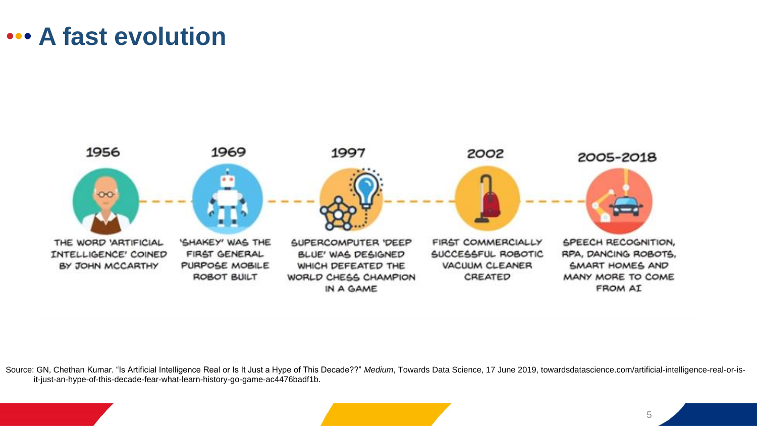### ••• **A fast evolution**



Source: GN, Chethan Kumar. "Is Artificial Intelligence Real or Is It Just a Hype of This Decade??" *Medium*, Towards Data Science, 17 June 2019, towardsdatascience.com/artificial-intelligence-real-or-isit-just-an-hype-of-this-decade-fear-what-learn-history-go-game-ac4476badf1b.

5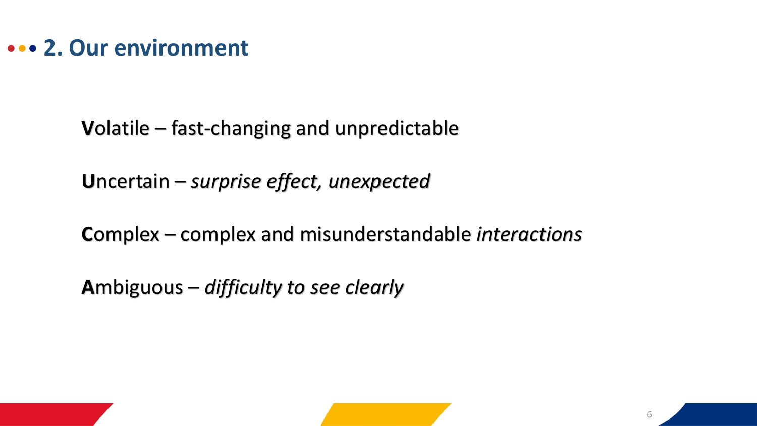#### ••• **2. Our environment**

**V**olatile – fast-changing and unpredictable

**U**ncertain – *surprise effect, unexpected*

**C**omplex – complex and misunderstandable *interactions*

**A**mbiguous – *difficulty to see clearly*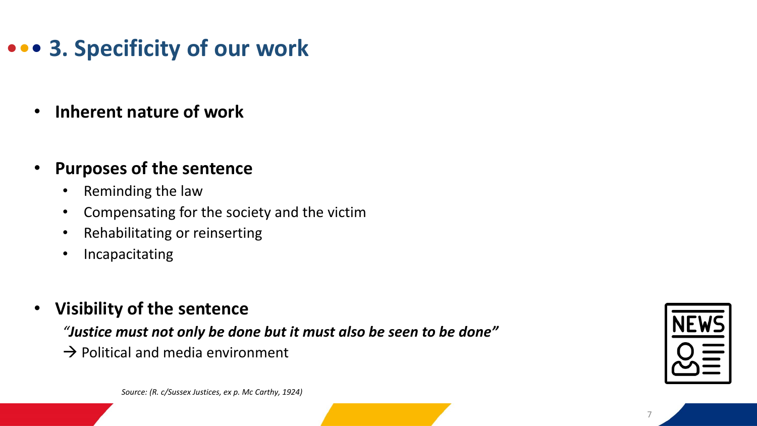## ••• **3. Specificity of our work**

- **Inherent nature of work**
- **Purposes of the sentence**
	- Reminding the law
	- Compensating for the society and the victim
	- Rehabilitating or reinserting
	- Incapacitating
- **Visibility of the sentence**

*"Justice must not only be done but it must also be seen to be done"*

 $\rightarrow$  Political and media environment



*Source: (R. c/Sussex Justices, ex p. Mc Carthy, 1924)*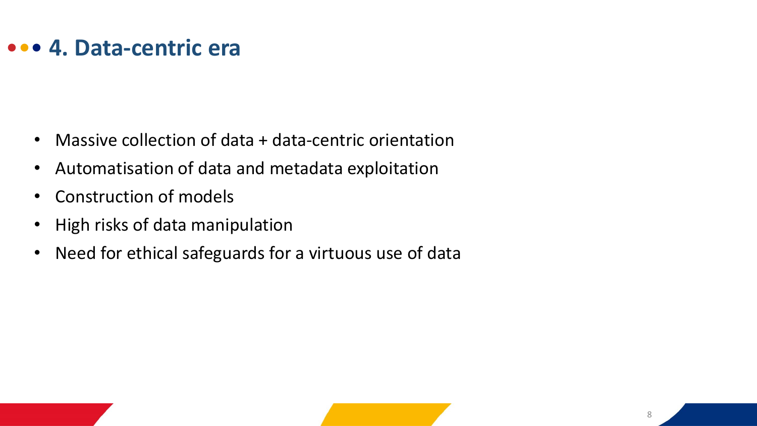#### ••• **4. Data-centric era**

- Massive collection of data + data-centric orientation
- Automatisation of data and metadata exploitation
- Construction of models
- High risks of data manipulation
- Need for ethical safeguards for a virtuous use of data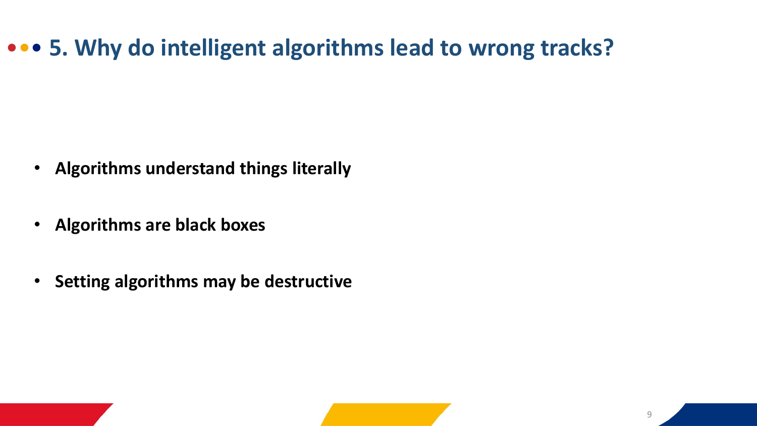### ••• **5. Why do intelligent algorithms lead to wrong tracks?**

- **Algorithms understand things literally**
- **Algorithms are black boxes**
- **Setting algorithms may be destructive**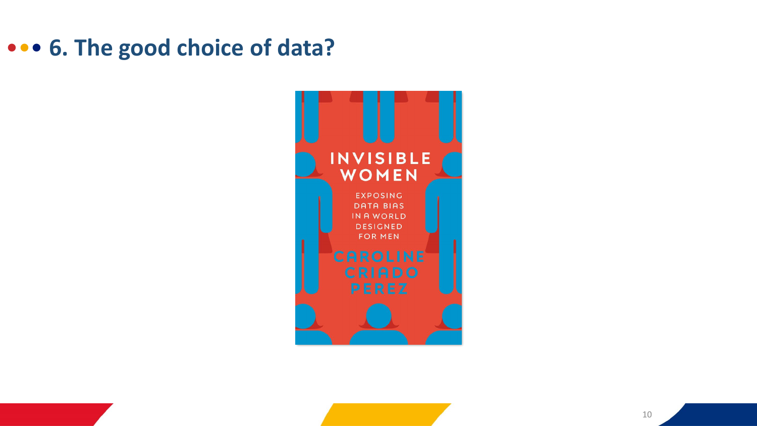### ••• **6. The good choice of data?**

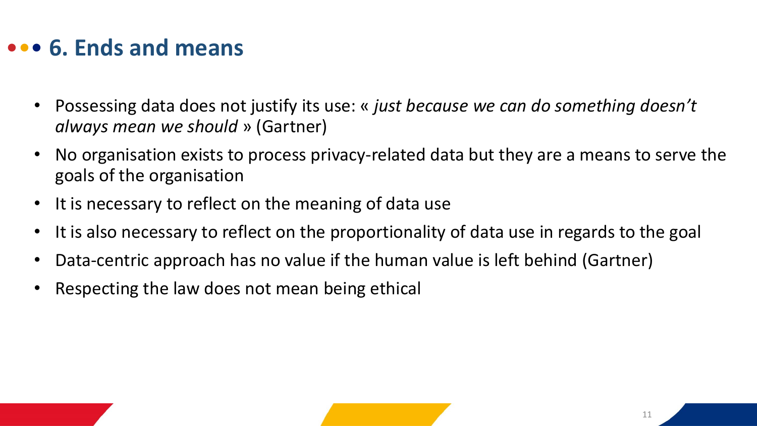### ••• **6. Ends and means**

- Possessing data does not justify its use: « *just because we can do something doesn't always mean we should* » (Gartner)
- No organisation exists to process privacy-related data but they are a means to serve the goals of the organisation
- It is necessary to reflect on the meaning of data use
- It is also necessary to reflect on the proportionality of data use in regards to the goal
- Data-centric approach has no value if the human value is left behind (Gartner)
- Respecting the law does not mean being ethical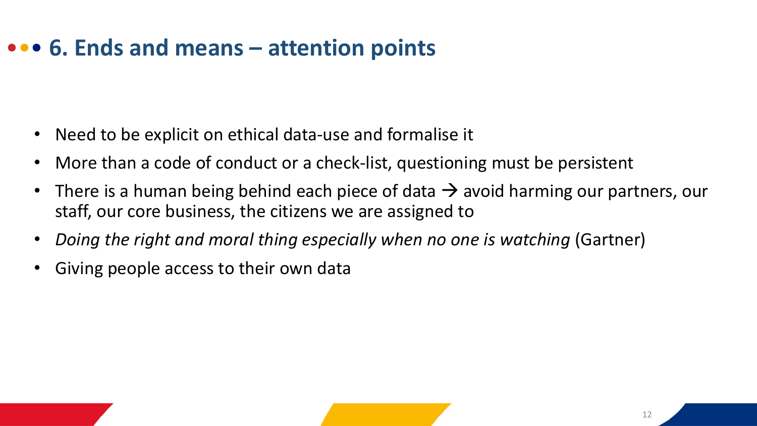### ••• **6. Ends and means – attention points**

- Need to be explicit on ethical data-use and formalise it
- More than a code of conduct or a check-list, questioning must be persistent
- There is a human being behind each piece of data  $\rightarrow$  avoid harming our partners, our staff, our core business, the citizens we are assigned to
- *Doing the right and moral thing especially when no one is watching* (Gartner)
- Giving people access to their own data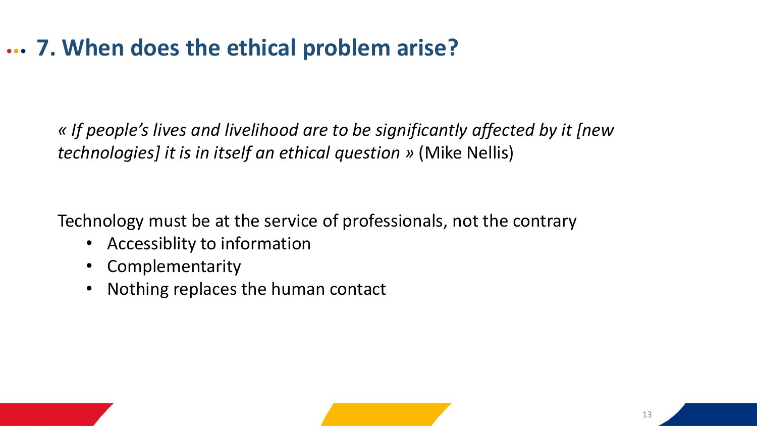### ••• **7. When does the ethical problem arise?**

*« If people's lives and livelihood are to be significantly affected by it [new technologies] it is in itself an ethical question »* (Mike Nellis)

Technology must be at the service of professionals, not the contrary

- Accessiblity to information
- Complementarity
- Nothing replaces the human contact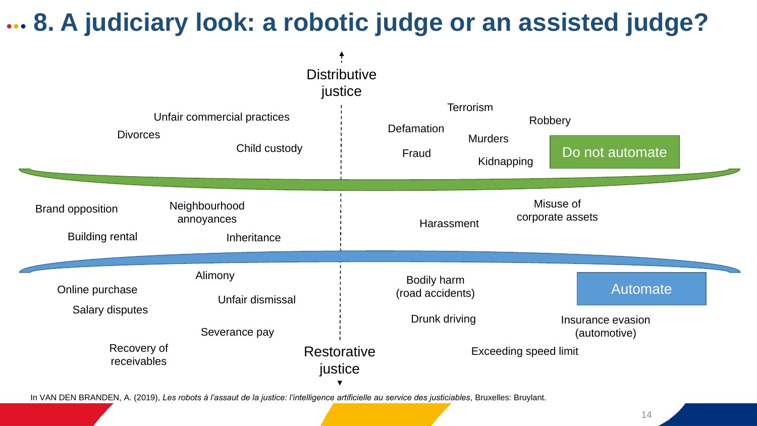## ••• **8. A judiciary look: a robotic judge or an assisted judge?**



14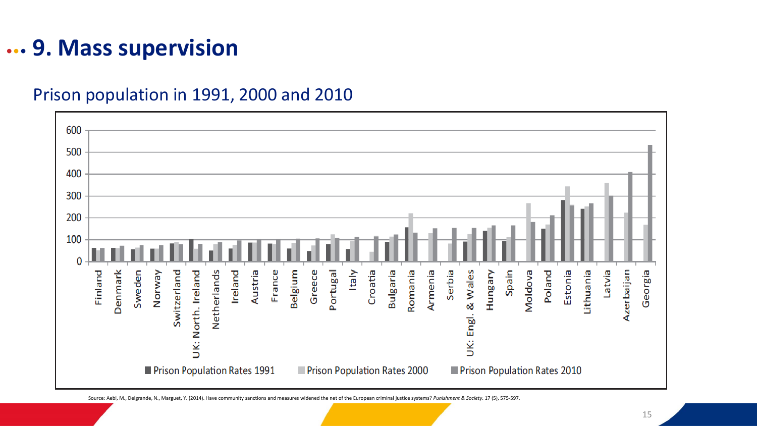#### ••• **9. Mass supervision**

Prison population in 1991, 2000 and 2010

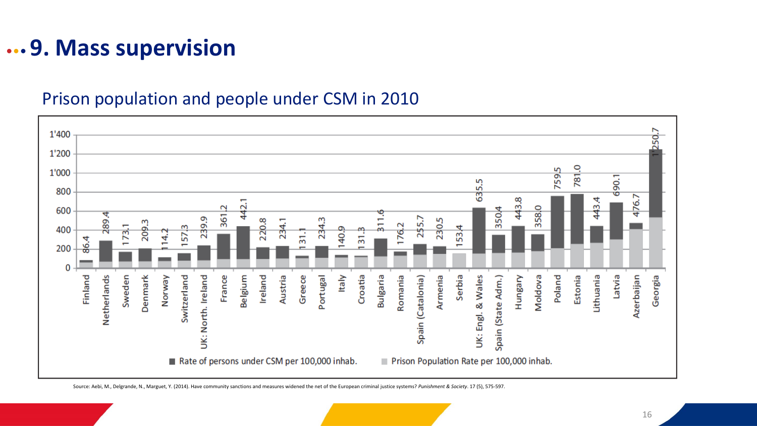### ••• **9. Mass supervision**

#### Prison population and people under CSM in 2010



Source: Aebi, M., Delgrande, N., Marguet, Y. (2014). Have community sanctions and measures widened the net of the European criminal justice systems? *Punishment & Society*. 17 (5), 575-597.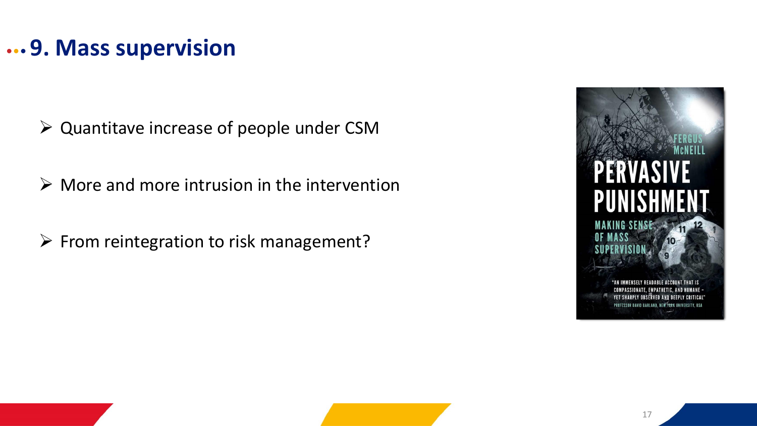#### ••• **9. Mass supervision**

➢ Quantitave increase of people under CSM

 $\triangleright$  More and more intrusion in the intervention

➢ From reintegration to risk management?

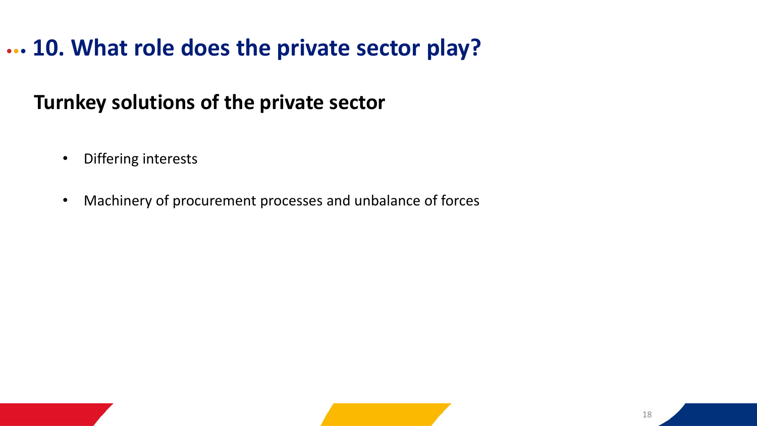### ••• **10. What role does the private sector play?**

#### **Turnkey solutions of the private sector**

- Differing interests
- Machinery of procurement processes and unbalance of forces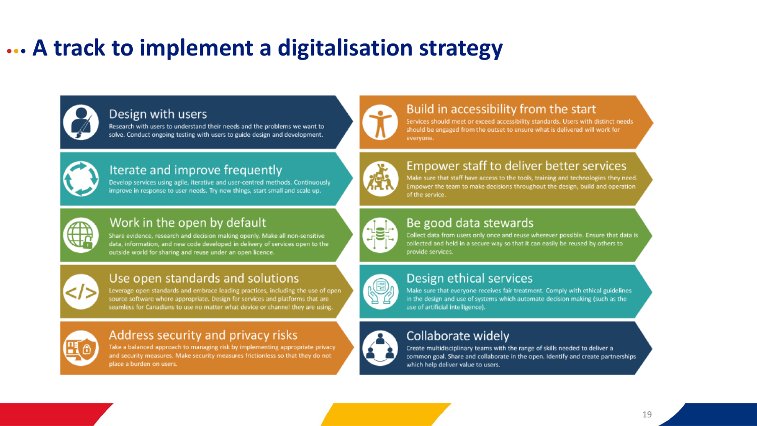### ••• **A track to implement a digitalisation strategy**



#### Design with users

Research with users to understand their needs and the problems we want to solve. Conduct ongoing testing with users to guide design and development.



#### Iterate and improve frequently

Develop services using agile, iterative and user-centred methods. Continuously improve in response to user needs. Try new things, start small and scale up.



#### Work in the open by default

Share evidence, research and decision making openly. Make all non-sensitive data, information, and new code developed in delivery of services open to the outside world for sharing and reuse under an open licence.



#### Use open standards and solutions

Leverage open standards and embrace leading practices, including the use of open source software where appropriate. Design for services and platforms that are seamless for Canadians to use no matter what device or channel they are using.

#### Address security and privacy risks

Take a balanced approach to managing risk by implementing appropriate privacy and security measures. Make security measures frictionless so that they do not place a burden on users.



#### Build in accessibility from the start

Services should meet or exceed accessibility standards. Users with distinct needs should be engaged from the outset to ensure what is delivered will work for everyone.



#### Empower staff to deliver better services

Make sure that staff have access to the tools, training and technologies they need. Empower the team to make decisions throughout the design, build and operation of the service.



#### Be good data stewards

Collect data from users only once and reuse wherever possible. Ensure that data is collected and held in a secure way so that it can easily be reused by others to provide services.



#### Design ethical services

Make sure that everyone receives fair treatment. Comply with ethical guidelines in the design and use of systems which automate decision making (such as the use of artificial intelligence).



#### Collaborate widely

Create multidisciplinary teams with the range of skills needed to deliver a common goal. Share and collaborate in the open. Identify and create partnerships which help deliver value to users.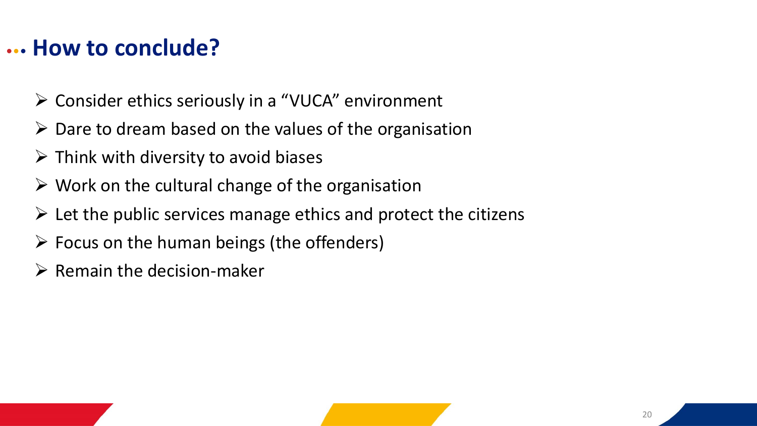#### ••• **How to conclude?**

- ➢ Consider ethics seriously in a "VUCA" environment
- $\triangleright$  Dare to dream based on the values of the organisation
- $\triangleright$  Think with diversity to avoid biases
- $\triangleright$  Work on the cultural change of the organisation
- $\triangleright$  Let the public services manage ethics and protect the citizens
- $\triangleright$  Focus on the human beings (the offenders)
- $\triangleright$  Remain the decision-maker